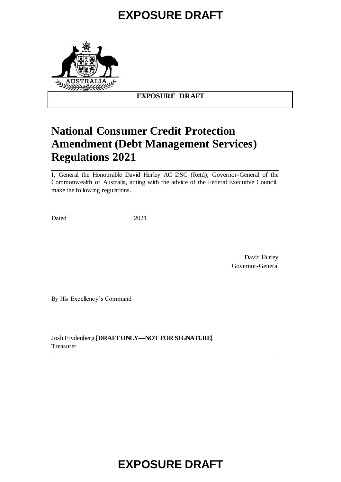# **EXPOSURE DRAFT**



## **EXPOSURE DRAFT**

# **National Consumer Credit Protection Amendment (Debt Management Services) Regulations 2021**

I, General the Honourable David Hurley AC DSC (Retd), Governor-General of the Commonwealth of Australia, acting with the advice of the Federal Executive Council, make the following regulations.

Dated 2021

David Hurley Governor-General

By His Excellency's Command

Josh Frydenberg **[DRAFT ONLY—NOT FOR SIGNATURE]** Treasurer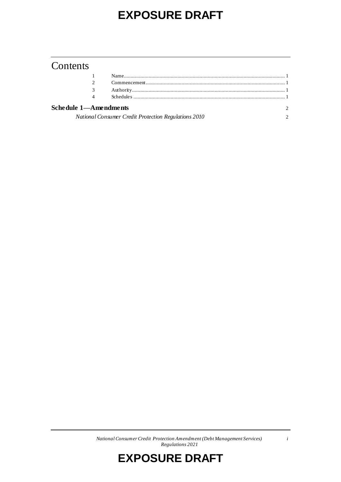# **EXPOSURE DRAFT**

# Contents

| 4                     |                                                      |  |
|-----------------------|------------------------------------------------------|--|
| Schedule 1—Amendments | National Consumer Credit Protection Regulations 2010 |  |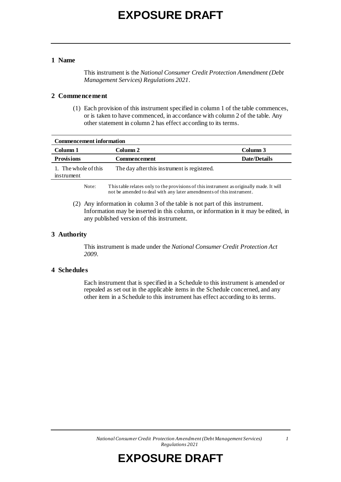#### **1 Name**

This instrument is the *National Consumer Credit Protection Amendment (Debt Management Services) Regulations 2021*.

#### **2 Commencement**

(1) Each provision of this instrument specified in column 1 of the table commences, or is taken to have commenced, in accordance with column 2 of the table. Any other statement in column 2 has effect according to its terms.

| <b>Commencement information</b>    |                                                                                                                                                                  |                     |  |
|------------------------------------|------------------------------------------------------------------------------------------------------------------------------------------------------------------|---------------------|--|
| Column 1                           | Column 2                                                                                                                                                         | Column 3            |  |
| <b>Provisions</b>                  | Commencement                                                                                                                                                     | <b>Date/Details</b> |  |
| 1. The whole of this<br>instrument | The day after this instrument is registered.                                                                                                                     |                     |  |
| Note:                              | This table relates only to the provisions of this instrument as originally made. It will<br>not be amended to deal with any later amendments of this instrument. |                     |  |

(2) Any information in column 3 of the table is not part of this instrument. Information may be inserted in this column, or information in it may be edited, in any published version of this instrument.

#### **3 Authority**

This instrument is made under the *National Consumer Credit Protection Act 2009*.

#### **4 Schedules**

Each instrument that is specified in a Schedule to this instrument is amended or repealed as set out in the applicable items in the Schedule concerned, and any other item in a Schedule to this instrument has effect according to its terms.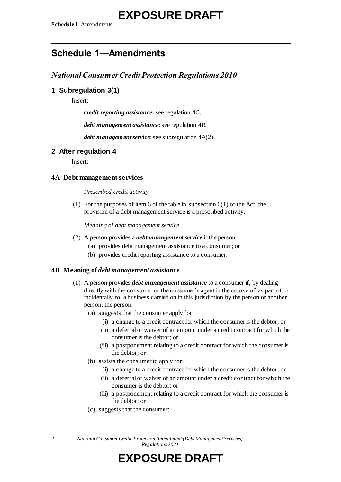# **Schedule 1—Amendments**

# *National Consumer Credit Protection Regulations 2010*

## **1 Subregulation 3(1)**

Insert:

*credit reporting assistance*: see regulation 4C.

*debt management assistance*: see regulation 4B.

*debt management service*: see subregulation 4A(2).

## **2 After regulation 4**

Insert:

#### **4A Debt management services**

#### *Prescribed credit activity*

(1) For the purposes of item 6 of the table in subsection 6(1) of the Act, the provision of a debt management service is a prescribed activity.

*Meaning of debt management service*

- (2) A person provides a *debt management service* if the person:
	- (a) provides debt management assistance to a consumer; or
	- (b) provides credit reporting assistance to a consumer.

#### **4B Meaning of** *debt management assistance*

- (1) A person provides *debt management assistance* to a consumer if, by dealing directly with the consumer or the consumer's agent in the course of, as part of, or incidentally to, a business carried on in this jurisdiction by the person or another person, the person:
	- (a) suggests that the consumer apply for:
		- (i) a change to a credit contract for which the consumer is the debtor; or
		- (ii) a deferral or waiver of an amount under a credit contract for which the consumer is the debtor; or
		- (iii) a postponement relating to a credit contract for which the consumer is the debtor; or
	- (b) assists the consumer to apply for:
		- (i) a change to a credit contract for which the consumer is the debtor; or
		- (ii) a deferral or waiver of an amount under a credit contract for which the consumer is the debtor; or
		- (iii) a postponement relating to a credit contract for which the consumer is the debtor; or
	- (c) suggests that the consumer:

*2 National Consumer Credit Protection Amendment (Debt Management Services) Regulations 2021*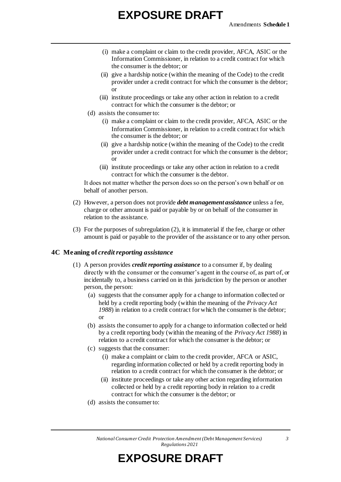# **EXPOSURE DRAFT**

- (i) make a complaint or claim to the credit provider, AFCA, ASIC or the Information Commissioner, in relation to a credit contract for which the consumer is the debtor; or
- (ii) give a hardship notice (within the meaning of the Code) to the credit provider under a credit contract for which the consumer is the debtor; or
- (iii) institute proceedings or take any other action in relation to a credit contract for which the consumer is the debtor; or
- (d) assists the consumer to:
	- (i) make a complaint or claim to the credit provider, AFCA, ASIC or the Information Commissioner, in relation to a credit contract for which the consumer is the debtor; or
	- (ii) give a hardship notice (within the meaning of the Code) to the credit provider under a credit contract for which the consumer is the debtor; or
	- (iii) institute proceedings or take any other action in relation to a credit contract for which the consumer is the debtor.

It does not matter whether the person does so on the person's own behalf or on behalf of another person.

- (2) However, a person does not provide *debt management assistance* unless a fee, charge or other amount is paid or payable by or on behalf of the consumer in relation to the assistance.
- (3) For the purposes of subregulation (2), it is immaterial if the fee, charge or other amount is paid or payable to the provider of the assistance or to any other person.

#### **4C Meaning of** *credit reporting assistance*

- (1) A person provides *credit reporting assistance* to a consumer if, by dealing directly with the consumer or the consumer's agent in the course of, as part of, or incidentally to, a business carried on in this jurisdiction by the person or another person, the person:
	- (a) suggests that the consumer apply for a change to information collected or held by a credit reporting body (within the meaning of the *Privacy Act 1988*) in relation to a credit contract for which the consumer is the debtor; or
	- (b) assists the consumer to apply for a change to information collected or held by a credit reporting body (within the meaning of the *Privacy Act 1988*) in relation to a credit contract for which the consumer is the debtor; or
	- (c) suggests that the consumer:
		- (i) make a complaint or claim to the credit provider, AFCA or ASIC, regarding information collected or held by a credit reporting body in relation to a credit contract for which the consumer is the debtor; or
		- (ii) institute proceedings or take any other action regarding information collected or held by a credit reporting body in relation to a credit contract for which the consumer is the debtor; or
	- (d) assists the consumer to: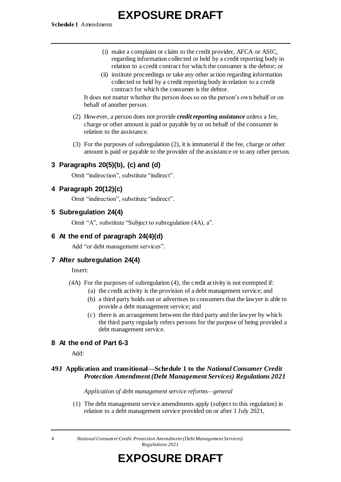**Schedule 1** Amendments

# **EXPOSURE DRAFT**

- (i) make a complaint or claim to the credit provider, AFCA or ASIC, regarding information collected or held by a credit reporting body in relation to a credit contract for which the consumer is the debtor; or
- (ii) institute proceedings or take any other action regarding information collected or held by a credit reporting body in relation to a credit contract for which the consumer is the debtor.

It does not matter whether the person does so on the person's own behalf or on behalf of another person.

- (2) However, a person does not provide *credit reporting assistance* unless a fee, charge or other amount is paid or payable by or on behalf of the consumer in relation to the assistance.
- (3) For the purposes of subregulation (2), it is immaterial if the fee, charge or other amount is paid or payable to the provider of the assistance or to any other person.

## **3 Paragraphs 20(5)(b), (c) and (d)**

Omit "indirection", substitute "indirect".

## **4 Paragraph 20(12)(c)**

Omit "indirection", substitute "indirect".

## **5 Subregulation 24(4)**

Omit "A", substitute "Subject to subregulation (4A), a".

## **6 At the end of paragraph 24(4)(d)**

Add "or debt management services".

## **7 After subregulation 24(4)**

#### Insert:

- (4A) For the purposes of subregulation (4), the credit activity is not exempted if:
	- (a) the credit activity is the provision of a debt management service; and
	- (b) a third party holds out or advertises to consumers that the lawyer is able to provide a debt management service; and
	- (c) there is an arrangement between the third party and the lawyer by which the third party regularly refers persons for the purpose of being provided a debt management service.

## **8 At the end of Part 6-3**

Add:

## **49J Application and transitional—Schedule 1 to the** *National Consumer Credit Protection Amendment (Debt Management Services) Regulations 2021*

#### *Application of debt management service reforms—general*

(1) The debt management service amendments apply (subject to this regulation) in relation to a debt management service provided on or after 1 July 2021,

*4 National Consumer Credit Protection Amendment (Debt Management Services) Regulations 2021*